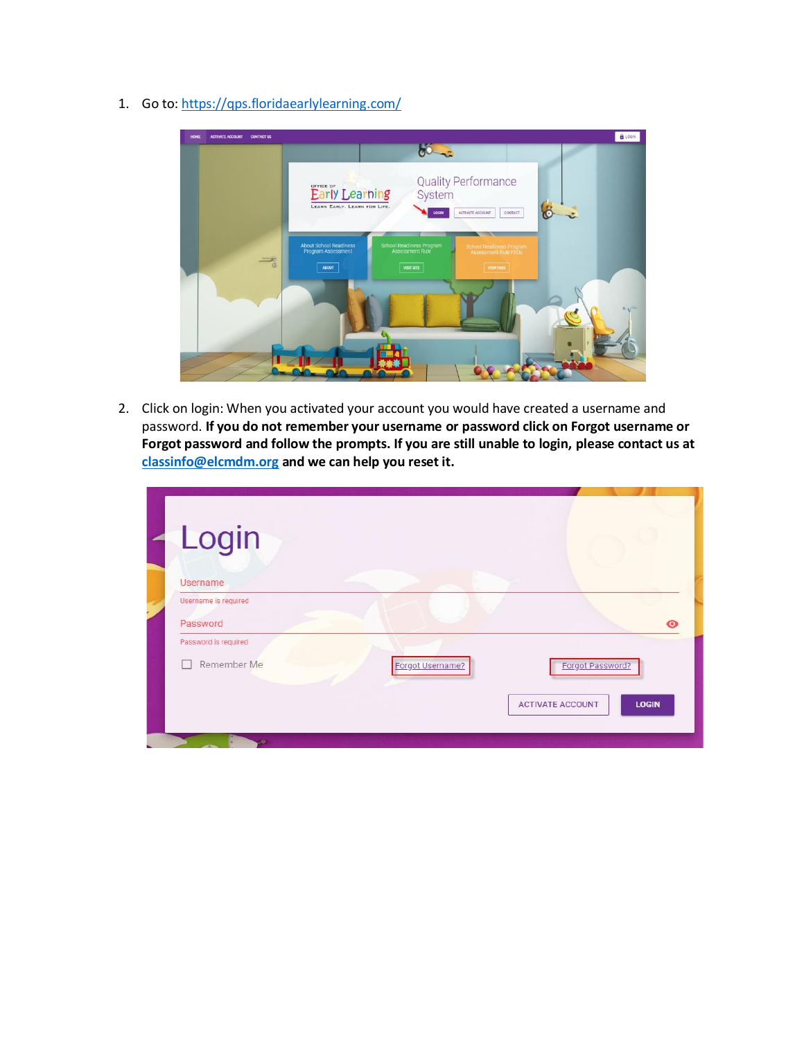1. Go to:<https://qps.floridaearlylearning.com/>



2. Click on login: When you activated your account you would have created a username and password. **If you do not remember your username or password click on Forgot username or Forgot password and follow the prompts. If you are still unable to login, please contact us at [classinfo@elcmdm.org](mailto:classinfo@elcmdm.org) and we can help you reset it.**

| Login                |                  |                                         |
|----------------------|------------------|-----------------------------------------|
| Username             |                  |                                         |
| Username is required |                  |                                         |
| Password             |                  | $\bullet$                               |
| Password is required |                  |                                         |
| Remember Me          | Forgot Username? | Forgot Password?                        |
|                      |                  | <b>LOGIN</b><br><b>ACTIVATE ACCOUNT</b> |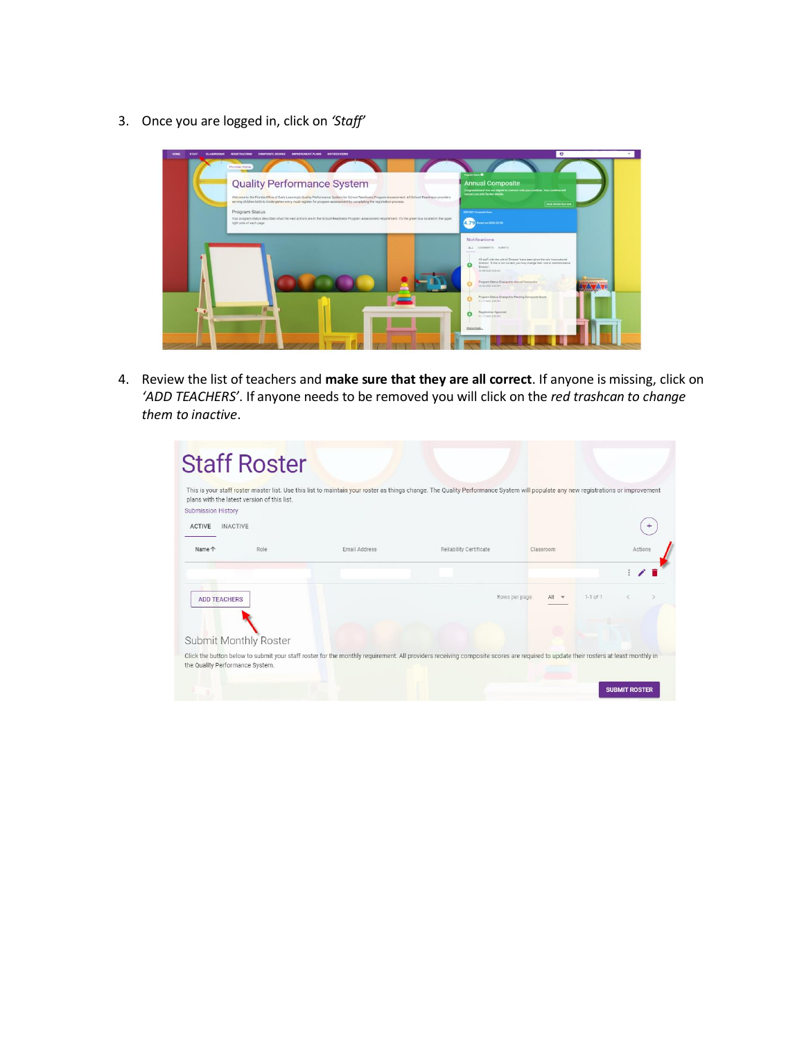3. Once you are logged in, click on *'Staff'*

| <b>STAF</b><br><b>CLASSICOMS</b> | <b>NOTIFICATIONS</b><br><b><i>MUNICATIVE NT PLANS</i></b><br><b><i>CARDINATE REGALES</i></b>                                                                                                                                                                                      | $\epsilon$                                                                                                                                                                               |
|----------------------------------|-----------------------------------------------------------------------------------------------------------------------------------------------------------------------------------------------------------------------------------------------------------------------------------|------------------------------------------------------------------------------------------------------------------------------------------------------------------------------------------|
|                                  | Provider Home                                                                                                                                                                                                                                                                     | <b>Ingram Status O</b>                                                                                                                                                                   |
|                                  | <b>Quality Performance System</b>                                                                                                                                                                                                                                                 | <b>Annual Composite</b><br>Congressfational You are aligible to commet with your contrices. Your continue will<br>contact you with further details.                                      |
|                                  | Welcome to the Florida Office of Early Learning's Quality Performance System for School Readiness Program Assessment. All School Readiness providers<br>perving children birth to kindergarten entry must register for program assessment by completing the registration process. | <b>VEW REGISTRATION</b>                                                                                                                                                                  |
|                                  | Program Status<br>Your program status describes what the next actions are in the School Readiness Program Assessment requirement. It's the green box located in the upper                                                                                                         | 2020-2021 Composite Scott                                                                                                                                                                |
|                                  | right side of each page.                                                                                                                                                                                                                                                          | 4.79 Renet we 2020-02-28                                                                                                                                                                 |
|                                  |                                                                                                                                                                                                                                                                                   | Notifications                                                                                                                                                                            |
|                                  |                                                                                                                                                                                                                                                                                   | ALL COMMENTS EVENTS                                                                                                                                                                      |
|                                  |                                                                                                                                                                                                                                                                                   | All staff with the role of Director' have been given the role 'Instructional'<br>Director: If this is not correct, you may change their rule to 'Administrative<br>$\Omega$<br>Director. |
|                                  |                                                                                                                                                                                                                                                                                   | THE REQUIREMENT                                                                                                                                                                          |
|                                  |                                                                                                                                                                                                                                                                                   | Program Status Changed to Annual Composite<br>2010/2020 04:09:1                                                                                                                          |
|                                  |                                                                                                                                                                                                                                                                                   | Program Status Changed to Pending Composite Score<br>BUTTIERS EREINE                                                                                                                     |
|                                  |                                                                                                                                                                                                                                                                                   | Registration Approved<br>Shirt-Stong Bally                                                                                                                                               |
|                                  |                                                                                                                                                                                                                                                                                   | Show more                                                                                                                                                                                |
|                                  |                                                                                                                                                                                                                                                                                   |                                                                                                                                                                                          |

4. Review the list of teachers and **make sure that they are all correct**. If anyone is missing, click on *'ADD TEACHERS'*. If anyone needs to be removed you will click on the *red trashcan to change them to inactive*.

| Submission History  | plans with the latest version of this list. | This is your staff roster master list. Use this list to maintain your roster as things change. The Quality Performance System will populate any new registrations or improvement  |                         |                |              |
|---------------------|---------------------------------------------|-----------------------------------------------------------------------------------------------------------------------------------------------------------------------------------|-------------------------|----------------|--------------|
| <b>ACTIVE</b>       | <b>INACTIVE</b>                             |                                                                                                                                                                                   |                         |                |              |
| Name 个              | Role                                        | Email Address                                                                                                                                                                     | Reliability Certificate | Classroom      | Actions      |
|                     |                                             |                                                                                                                                                                                   |                         |                |              |
| <b>ADD TEACHERS</b> |                                             |                                                                                                                                                                                   |                         | Rows per page: | $1-1$ of $1$ |
|                     |                                             |                                                                                                                                                                                   |                         |                |              |
|                     | Submit Monthly Roster                       |                                                                                                                                                                                   |                         |                |              |
|                     |                                             | Click the button below to submit your staff roster for the monthly requirement. All providers receiving composite scores are required to update their rosters at least monthly in |                         |                |              |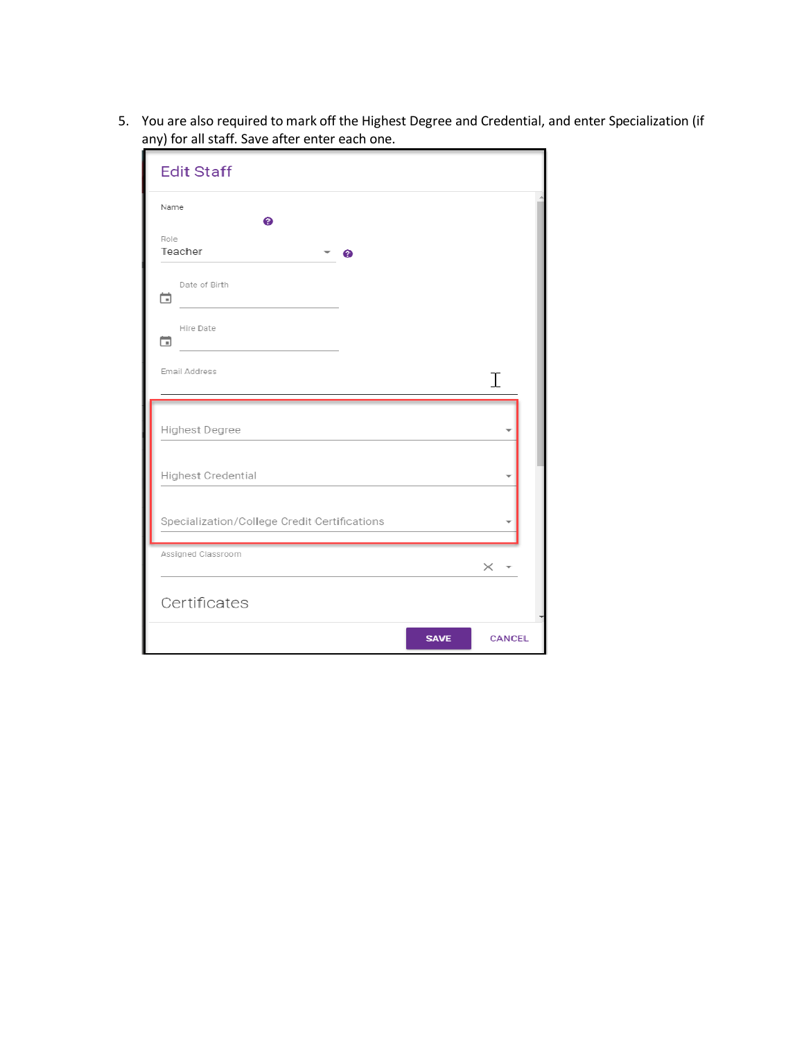5. You are also required to mark off the Highest Degree and Credential, and enter Specialization (if any) for all staff. Save after enter each one.

| <b>Edit Staff</b>                            |               |
|----------------------------------------------|---------------|
| Name<br>❼                                    |               |
| Role<br>Teacher<br>ℯ                         |               |
| Date of Birth<br>ä                           |               |
| Hire Date<br>尙                               |               |
| Email Address                                | Ι             |
| Highest Degree                               |               |
| <b>Highest Credential</b>                    |               |
| Specialization/College Credit Certifications |               |
| Assigned Classroom                           | $\times$      |
| Certificates                                 |               |
| <b>SAVE</b>                                  | <b>CANCEL</b> |